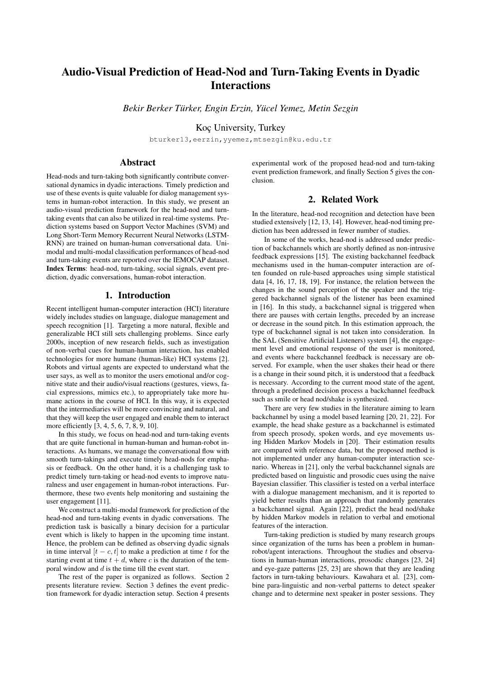# Audio-Visual Prediction of Head-Nod and Turn-Taking Events in Dyadic **Interactions**

*Bekir Berker Turker, Engin Erzin, Y ¨ ucel Yemez, Metin Sezgin ¨*

Koc¸ University, Turkey

bturker13,eerzin,yyemez,mtsezgin@ku.edu.tr

# Abstract

Head-nods and turn-taking both significantly contribute conversational dynamics in dyadic interactions. Timely prediction and use of these events is quite valuable for dialog management systems in human-robot interaction. In this study, we present an audio-visual prediction framework for the head-nod and turntaking events that can also be utilized in real-time systems. Prediction systems based on Support Vector Machines (SVM) and Long Short-Term Memory Recurrent Neural Networks (LSTM-RNN) are trained on human-human conversational data. Unimodal and multi-modal classification performances of head-nod and turn-taking events are reported over the IEMOCAP dataset. Index Terms: head-nod, turn-taking, social signals, event prediction, dyadic conversations, human-robot interaction.

# 1. Introduction

Recent intelligent human-computer interaction (HCI) literature widely includes studies on language, dialogue management and speech recognition [1]. Targeting a more natural, flexible and generalizable HCI still sets challenging problems. Since early 2000s, inception of new research fields, such as investigation of non-verbal cues for human-human interaction, has enabled technologies for more humane (human-like) HCI systems [2]. Robots and virtual agents are expected to understand what the user says, as well as to monitor the users emotional and/or cognitive state and their audio/visual reactions (gestures, views, facial expressions, mimics etc.), to appropriately take more humane actions in the course of HCI. In this way, it is expected that the intermediaries will be more convincing and natural, and that they will keep the user engaged and enable them to interact more efficiently [3, 4, 5, 6, 7, 8, 9, 10].

In this study, we focus on head-nod and turn-taking events that are quite functional in human-human and human-robot interactions. As humans, we manage the conversational flow with smooth turn-takings and execute timely head-nods for emphasis or feedback. On the other hand, it is a challenging task to predict timely turn-taking or head-nod events to improve naturalness and user engagement in human-robot interactions. Furthermore, these two events help monitoring and sustaining the user engagement [11].

We construct a multi-modal framework for prediction of the head-nod and turn-taking events in dyadic conversations. The prediction task is basically a binary decision for a particular event which is likely to happen in the upcoming time instant. Hence, the problem can be defined as observing dyadic signals in time interval  $[t - c, t]$  to make a prediction at time t for the starting event at time  $t + d$ , where c is the duration of the temporal window and  $d$  is the time till the event start.

The rest of the paper is organized as follows. Section 2 presents literature review. Section 3 defines the event prediction framework for dyadic interaction setup. Section 4 presents experimental work of the proposed head-nod and turn-taking event prediction framework, and finally Section 5 gives the conclusion.

# 2. Related Work

In the literature, head-nod recognition and detection have been studied extensively [12, 13, 14]. However, head-nod timing prediction has been addressed in fewer number of studies.

In some of the works, head-nod is addressed under prediction of backchannels which are shortly defined as non-intrusive feedback expressions [15]. The existing backchannel feedback mechanisms used in the human-computer interaction are often founded on rule-based approaches using simple statistical data [4, 16, 17, 18, 19]. For instance, the relation between the changes in the sound perception of the speaker and the triggered backchannel signals of the listener has been examined in [16]. In this study, a backchannel signal is triggered when there are pauses with certain lengths, preceded by an increase or decrease in the sound pitch. In this estimation approach, the type of backchannel signal is not taken into consideration. In the SAL (Sensitive Artificial Listeners) system [4], the engagement level and emotional response of the user is monitored, and events where backchannel feedback is necessary are observed. For example, when the user shakes their head or there is a change in their sound pitch, it is understood that a feedback is necessary. According to the current mood state of the agent, through a predefined decision process a backchannel feedback such as smile or head nod/shake is synthesized.

There are very few studies in the literature aiming to learn backchannel by using a model based learning [20, 21, 22]. For example, the head shake gesture as a backchannel is estimated from speech prosody, spoken words, and eye movements using Hidden Markov Models in [20]. Their estimation results are compared with reference data, but the proposed method is not implemented under any human-computer interaction scenario. Whereas in [21], only the verbal backchannel signals are predicted based on linguistic and prosodic cues using the naive Bayesian classifier. This classifier is tested on a verbal interface with a dialogue management mechanism, and it is reported to yield better results than an approach that randomly generates a backchannel signal. Again [22], predict the head nod/shake by hidden Markov models in relation to verbal and emotional features of the interaction.

Turn-taking prediction is studied by many research groups since organization of the turns has been a problem in humanrobot/agent interactions. Throughout the studies and observations in human-human interactions, prosodic changes [23, 24] and eye-gaze patterns [25, 23] are shown that they are leading factors in turn-taking behaviours. Kawahara et al. [23], combine para-linguistic and non-verbal patterns to detect speaker change and to determine next speaker in poster sessions. They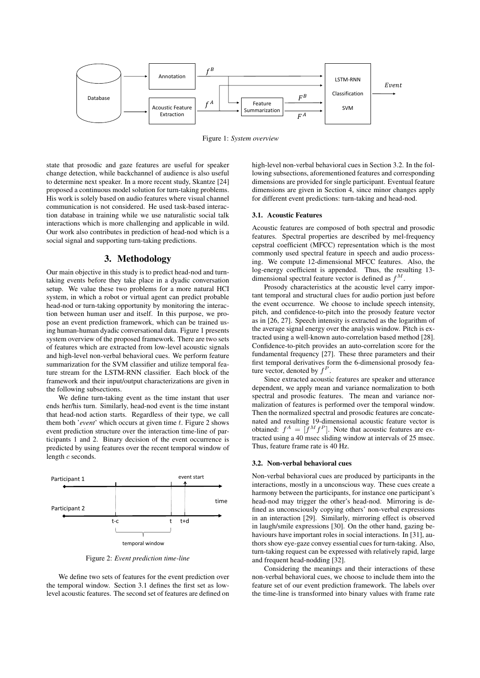

Figure 1: *System overview*

state that prosodic and gaze features are useful for speaker change detection, while backchannel of audience is also useful to determine next speaker. In a more recent study, Skantze [24] proposed a continuous model solution for turn-taking problems. His work is solely based on audio features where visual channel communication is not considered. He used task-based interaction database in training while we use naturalistic social talk interactions which is more challenging and applicable in wild. Our work also contributes in prediction of head-nod which is a social signal and supporting turn-taking predictions.

# 3. Methodology

Our main objective in this study is to predict head-nod and turntaking events before they take place in a dyadic conversation setup. We value these two problems for a more natural HCI system, in which a robot or virtual agent can predict probable head-nod or turn-taking opportunity by monitoring the interaction between human user and itself. In this purpose, we propose an event prediction framework, which can be trained using human-human dyadic conversational data. Figure 1 presents system overview of the proposed framework. There are two sets of features which are extracted from low-level acoustic signals and high-level non-verbal behavioral cues. We perform feature summarization for the SVM classifier and utilize temporal feature stream for the LSTM-RNN classifier. Each block of the framework and their input/output characterizations are given in the following subsections.

We define turn-taking event as the time instant that user ends her/his turn. Similarly, head-nod event is the time instant that head-nod action starts. Regardless of their type, we call them both '*event*' which occurs at given time t. Figure 2 shows event prediction structure over the interaction time-line of participants 1 and 2. Binary decision of the event occurrence is predicted by using features over the recent temporal window of length c seconds.



Figure 2: *Event prediction time-line*

We define two sets of features for the event prediction over the temporal window. Section 3.1 defines the first set as lowlevel acoustic features. The second set of features are defined on high-level non-verbal behavioral cues in Section 3.2. In the following subsections, aforementioned features and corresponding dimensions are provided for single participant. Eventual feature dimensions are given in Section 4, since minor changes apply for different event predictions: turn-taking and head-nod.

### 3.1. Acoustic Features

Acoustic features are composed of both spectral and prosodic features. Spectral properties are described by mel-frequency cepstral coefficient (MFCC) representation which is the most commonly used spectral feature in speech and audio processing. We compute 12-dimensional MFCC features. Also, the log-energy coefficient is appended. Thus, the resulting 13 dimensional spectral feature vector is defined as  $f^M$ .

Prosody characteristics at the acoustic level carry important temporal and structural clues for audio portion just before the event occurrence. We choose to include speech intensity, pitch, and confidence-to-pitch into the prosody feature vector as in [26, 27]. Speech intensity is extracted as the logarithm of the average signal energy over the analysis window. Pitch is extracted using a well-known auto-correlation based method [28]. Confidence-to-pitch provides an auto-correlation score for the fundamental frequency [27]. These three parameters and their first temporal derivatives form the 6-dimensional prosody feature vector, denoted by  $f^P$ .

Since extracted acoustic features are speaker and utterance dependent, we apply mean and variance normalization to both spectral and prosodic features. The mean and variance normalization of features is performed over the temporal window. Then the normalized spectral and prosodic features are concatenated and resulting 19-dimensional acoustic feature vector is obtained:  $f^A = [f^M f^P]$ . Note that acoustic features are extracted using a 40 msec sliding window at intervals of 25 msec. Thus, feature frame rate is 40 Hz.

#### 3.2. Non-verbal behavioral cues

Non-verbal behavioral cues are produced by participants in the interactions, mostly in a unconscious way. These cues create a harmony between the participants, for instance one participant's head-nod may trigger the other's head-nod. Mirroring is defined as unconsciously copying others' non-verbal expressions in an interaction [29]. Similarly, mirroring effect is observed in laugh/smile expressions [30]. On the other hand, gazing behaviours have important roles in social interactions. In [31], authors show eye-gaze convey essential cues for turn-taking. Also, turn-taking request can be expressed with relatively rapid, large and frequent head-nodding [32].

Considering the meanings and their interactions of these non-verbal behavioral cues, we choose to include them into the feature set of our event prediction framework. The labels over the time-line is transformed into binary values with frame rate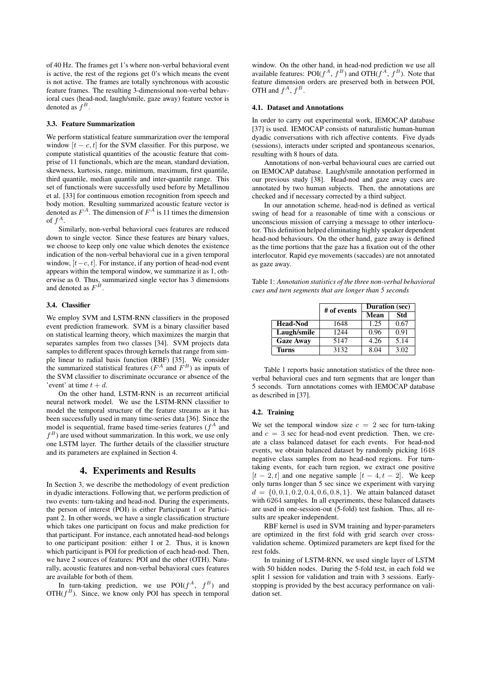of 40 Hz. The frames get 1's where non-verbal behavioral event is active, the rest of the regions get 0's which means the event is not active. The frames are totally synchronous with acoustic feature frames. The resulting 3-dimensional non-verbal behavioral cues (head-nod, laugh/smile, gaze away) feature vector is denoted as  $f^B$ .

#### 3.3. Feature Summarization

We perform statistical feature summarization over the temporal window  $[t - c, t]$  for the SVM classifier. For this purpose, we compute statistical quantities of the acoustic feature that comprise of 11 functionals, which are the mean, standard deviation, skewness, kurtosis, range, minimum, maximum, first quantile, third quantile, median quantile and inter-quantile range. This set of functionals were successfully used before by Metallinou et al. [33] for continuous emotion recognition from speech and body motion. Resulting summarized acoustic feature vector is denoted as  $F^A$ . The dimension of  $F^A$  is 11 times the dimension of  $f^A$ .

Similarly, non-verbal behavioral cues features are reduced down to single vector. Since these features are binary values, we choose to keep only one value which denotes the existence indication of the non-verbal behavioral cue in a given temporal window,  $[t-c, t]$ . For instance, if any portion of head-nod event appears within the temporal window, we summarize it as 1, otherwise as 0. Thus, summarized single vector has 3 dimensions and denoted as  $F^B$ .

#### 3.4. Classifier

We employ SVM and LSTM-RNN classifiers in the proposed event prediction framework. SVM is a binary classifier based on statistical learning theory, which maximizes the margin that separates samples from two classes [34]. SVM projects data samples to different spaces through kernels that range from simple linear to radial basis function (RBF) [35]. We consider the summarized statistical features ( $F^A$  and  $F^B$ ) as inputs of the SVM classifier to discriminate occurance or absence of the 'event' at time  $t + d$ .

On the other hand, LSTM-RNN is an recurrent artificial neural network model. We use the LSTM-RNN classifier to model the temporal structure of the feature streams as it has been successfully used in many time-series data [36]. Since the model is sequential, frame based time-series features  $(f^A)$  and  $f<sup>B</sup>$ ) are used without summarization. In this work, we use only one LSTM layer. The further details of the classifier structure and its parameters are explained in Section 4.

## 4. Experiments and Results

In Section 3, we describe the methodology of event prediction in dyadic interactions. Following that, we perform prediction of two events: turn-taking and head-nod. During the experiments, the person of interest (POI) is either Participant 1 or Participant 2. In other words, we have a single classification structure which takes one participant on focus and make prediction for that participant. For instance, each annotated head-nod belongs to one participant position: either 1 or 2. Thus, it is known which participant is POI for prediction of each head-nod. Then, we have 2 sources of features: POI and the other (OTH). Naturally, acoustic features and non-verbal behavioral cues features are available for both of them.

In turn-taking prediction, we use  $POI(f^A, f^B)$  and  $OTH(f<sup>B</sup>)$ . Since, we know only POI has speech in temporal

window. On the other hand, in head-nod prediction we use all available features:  $POI(f^A, f^B)$  and  $OTH(f^A, f^B)$ . Note that feature dimension orders are preserved both in between POI, OTH and  $f^A$ ,  $f^B$ .

#### 4.1. Dataset and Annotations

In order to carry out experimental work, IEMOCAP database [37] is used. IEMOCAP consists of naturalistic human-human dyadic conversations with rich affective contents. Five dyads (sessions), interacts under scripted and spontaneous scenarios, resulting with 8 hours of data.

Annotations of non-verbal behavioural cues are carried out on IEMOCAP database. Laugh/smile annotation performed in our previous study [38]. Head-nod and gaze away cues are annotated by two human subjects. Then, the annotations are checked and if necessary corrected by a third subject.

In our annotation scheme, head-nod is defined as vertical swing of head for a reasonable of time with a conscious or unconscious mission of carrying a message to other interlocutor. This definition helped eliminating highly speaker dependent head-nod behaviours. On the other hand, gaze away is defined as the time portions that the gaze has a fixation out of the other interlocutor. Rapid eye movements (saccades) are not annotated as gaze away.

Table 1: *Annotation statistics of the three non-verbal behavioral cues and turn segments that are longer than 5 seconds*

|                  | # of events | <b>Duration</b> (sec) |      |  |
|------------------|-------------|-----------------------|------|--|
|                  |             | Mean                  | Std  |  |
| <b>Head-Nod</b>  | 1648        | 1.25                  | 0.67 |  |
| Laugh/smile      | 1244        | 0.96                  | 0.91 |  |
| <b>Gaze Away</b> | 5147        | 4.26                  | 5.14 |  |
| <b>Turns</b>     | 3132        | 8.04                  | 3.02 |  |

Table 1 reports basic annotation statistics of the three nonverbal behavioral cues and turn segments that are longer than 5 seconds. Turn annotations comes with IEMOCAP database as described in [37].

#### 4.2. Training

We set the temporal window size  $c = 2$  sec for turn-taking and  $c = 3$  sec for head-nod event prediction. Then, we create a class balanced dataset for each events. For head-nod events, we obtain balanced dataset by randomly picking 1648 negative class samples from no head-nod regions. For turntaking events, for each turn region, we extract one positive  $[t - 2, t]$  and one negative sample  $[t - 4, t - 2]$ . We keep only turns longer than 5 sec since we experiment with varying  $d = \{0, 0.1, 0.2, 0.4, 0.6, 0.8, 1\}$ . We attain balanced dataset with 6264 samples. In all experiments, these balanced datasets are used in one-session-out (5-fold) test fashion. Thus, all results are speaker independent.

RBF kernel is used in SVM training and hyper-parameters are optimized in the first fold with grid search over crossvalidation scheme. Optimized parameters are kept fixed for the rest folds.

In training of LSTM-RNN, we used single layer of LSTM with 50 hidden nodes. During the 5-fold test, in each fold we split 1 session for validation and train with 3 sessions. Earlystopping is provided by the best accuracy performance on validation set.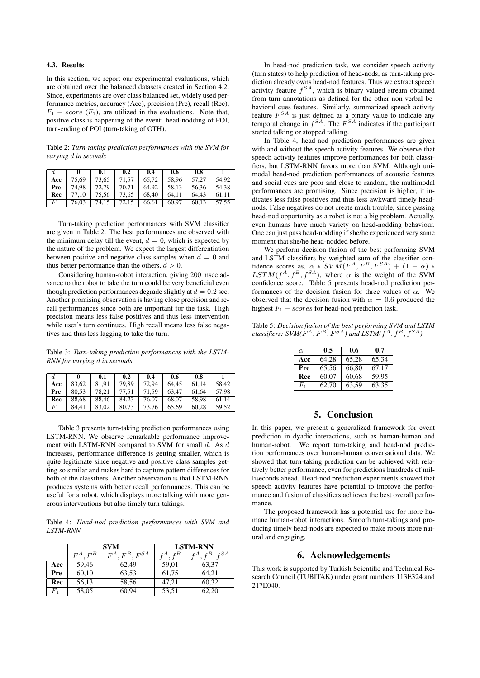#### 4.3. Results

In this section, we report our experimental evaluations, which are obtained over the balanced datasets created in Section 4.2. Since, experiments are over class balanced set, widely used performance metrics, accuracy (Acc), precision (Pre), recall (Rec),  $F_1$  – score ( $F_1$ ), are utilized in the evaluations. Note that, positive class is happening of the event: head-nodding of POI, turn-ending of POI (turn-taking of OTH).

Table 2: *Turn-taking prediction performances with the SVM for varying* d *in seconds*

| d              |       | 0.1   | 0.2   | 0.4   | 0.6   | 0.8   |       |
|----------------|-------|-------|-------|-------|-------|-------|-------|
| Acc            | 75.69 | 73,65 | 71.57 | 65.72 | 58.96 | 57.27 | 54.92 |
| Pre            | 74.98 | 72,79 | 70.71 | 64.92 | 58.13 | 56.36 | 54.38 |
| Rec            | 77.10 | 75,56 | 73.65 | 68.40 | 64.11 | 64.43 | 61.11 |
| F <sub>1</sub> | 76,03 | 74.15 | 72.15 | 66.61 | 60.97 | 60.13 | 57,55 |

Turn-taking prediction performances with SVM classifier are given in Table 2. The best performances are observed with the minimum delay till the event,  $d = 0$ , which is expected by the nature of the problem. We expect the largest differentiation between positive and negative class samples when  $d = 0$  and thus better performance than the others,  $d > 0$ .

Considering human-robot interaction, giving 200 msec advance to the robot to take the turn could be very beneficial even though prediction performances degrade slightly at  $d = 0.2$  sec. Another promising observation is having close precision and recall performances since both are important for the task. High precision means less false positives and thus less intervention while user's turn continues. High recall means less false negatives and thus less lagging to take the turn.

Table 3: *Turn-taking prediction performances with the LSTM-RNN for varying* d *in seconds*

| d           |       | 0.1   | 0.2   | 0.4   | 0.6   | 0.8   |       |
|-------------|-------|-------|-------|-------|-------|-------|-------|
| Acc         | 83.62 | 81.91 | 79.89 | 72.94 | 64.45 | 61.14 | 58.42 |
| Pre         | 80.53 | 78.21 | 77.51 | 71.59 | 63.47 | 61.64 | 57.98 |
| Rec         | 88.68 | 88.46 | 84.23 | 76.07 | 68.07 | 58.98 | 61.14 |
| $F_{\rm 1}$ | 84.41 | 83.02 | 80.73 | 73.76 | 65.69 | 60.28 | 59.52 |

Table 3 presents turn-taking prediction performances using LSTM-RNN. We observe remarkable performance improvement with LSTM-RNN compared to SVM for small  $d$ . As  $d$ increases, performance difference is getting smaller, which is quite legitimate since negative and positive class samples getting so similar and makes hard to capture pattern differences for both of the classifiers. Another observation is that LSTM-RNN produces systems with better recall performances. This can be useful for a robot, which displays more talking with more generous interventions but also timely turn-takings.

Table 4: *Head-nod prediction performances with SVM and LSTM-RNN*

|         |                | <b>SVM</b>        | <b>LSTM-RNN</b> |       |  |
|---------|----------------|-------------------|-----------------|-------|--|
|         | $F^B$<br>$F^A$ | $F^{SA}$<br>$F^A$ |                 |       |  |
| Acc     | 59,46          | 62.49             | 59,01           | 63,37 |  |
| Pre     | 60,10          | 63,53             | 61,75           | 64.21 |  |
| Rec     | 56,13          | 58,56             | 47.21           | 60,32 |  |
| $F_{1}$ | 58,05          | 60.94             | 53,51           | 62.20 |  |

In head-nod prediction task, we consider speech activity (turn states) to help prediction of head-nods, as turn-taking prediction already owns head-nod features. Thus we extract speech activity feature  $f^{SA}$ , which is binary valued stream obtained from turn annotations as defined for the other non-verbal behavioral cues features. Similarly, summarized speech activity feature  $F^{SA}$  is just defined as a binary value to indicate any temporal change in  $f^{SA}$ . The  $F^{SA}$  indicates if the participant started talking or stopped talking.

In Table 4, head-nod prediction performances are given with and without the speech activity features. We observe that speech activity features improve performances for both classifiers, but LSTM-RNN favors more than SVM. Although unimodal head-nod prediction performances of acoustic features and social cues are poor and close to random, the multimodal performances are promising. Since precision is higher, it indicates less false positives and thus less awkward timely headnods. False negatives do not create much trouble, since passing head-nod opportunity as a robot is not a big problem. Actually, even humans have much variety on head-nodding behaviour. One can just pass head-nodding if she/he experienced very same moment that she/he head-nodded before.

We perform decision fusion of the best performing SVM and LSTM classifiers by weighted sum of the classifier confidence scores as,  $\alpha * \text{SVM}(F^A, F^B, F^{SA}) + (1 - \alpha) *$  $LSTM(f^A, f^B, f^{SA})$ , where  $\alpha$  is the weight of the SVM confidence score. Table 5 presents head-nod prediction performances of the decision fusion for three values of  $\alpha$ . We observed that the decision fusion with  $\alpha = 0.6$  produced the highest  $F_1 - scores$  for head-nod prediction task.

Table 5: *Decision fusion of the best performing SVM and LSTM classifiers:*  $SVM(F^A, F^B, F^{SA})$  and  $LSTM(f^A, f^B, f^{SA})$ 

| $\alpha$ | 0.5   | 0.6   | 0.7   |
|----------|-------|-------|-------|
| Acc      | 64,28 | 65,28 | 65,34 |
| Pre      | 65,56 | 66,80 | 67.17 |
| Rec      | 60,07 | 60,68 | 59.95 |
| $F_1$    | 62.70 | 63,59 | 63.35 |

### 5. Conclusion

In this paper, we present a generalized framework for event prediction in dyadic interactions, such as human-human and human-robot. We report turn-taking and head-nod prediction performances over human-human conversational data. We showed that turn-taking prediction can be achieved with relatively better performance, even for predictions hundreds of milliseconds ahead. Head-nod prediction experiments showed that speech activity features have potential to improve the performance and fusion of classifiers achieves the best overall performance.

The proposed framework has a potential use for more humane human-robot interactions. Smooth turn-takings and producing timely head-nods are expected to make robots more natural and engaging.

### 6. Acknowledgements

This work is supported by Turkish Scientific and Technical Research Council (TUBITAK) under grant numbers 113E324 and 217E040.